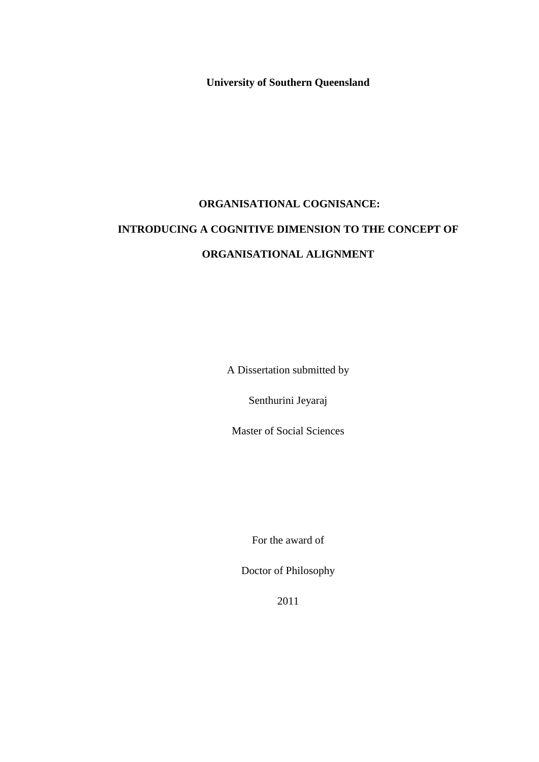**University of Southern Queensland**

# **ORGANISATIONAL COGNISANCE: INTRODUCING A COGNITIVE DIMENSION TO THE CONCEPT OF ORGANISATIONAL ALIGNMENT**

A Dissertation submitted by

Senthurini Jeyaraj

Master of Social Sciences

For the award of

Doctor of Philosophy

2011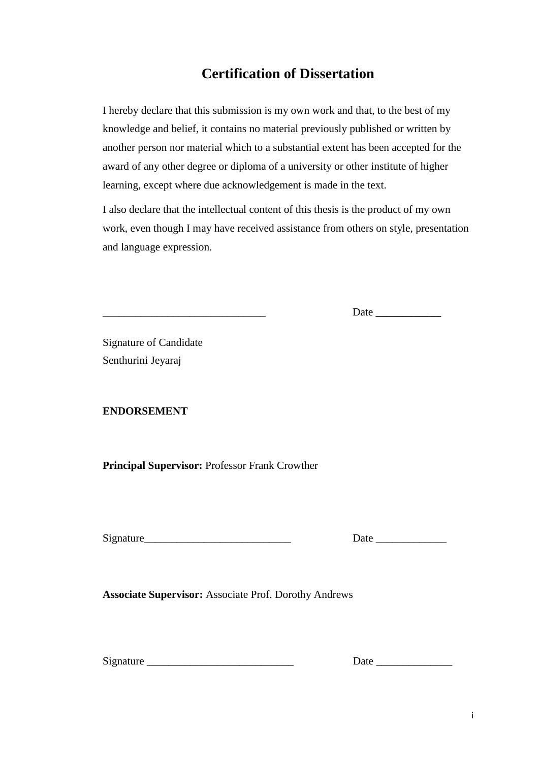### **Certification of Dissertation**

I hereby declare that this submission is my own work and that, to the best of my knowledge and belief, it contains no material previously published or written by another person nor material which to a substantial extent has been accepted for the award of any other degree or diploma of a university or other institute of higher learning, except where due acknowledgement is made in the text.

I also declare that the intellectual content of this thesis is the product of my own work, even though I may have received assistance from others on style, presentation and language expression.

\_\_\_\_\_\_\_\_\_\_\_\_\_\_\_\_\_\_\_\_\_\_\_\_\_\_\_\_\_\_ Date **\_\_\_\_\_\_\_\_\_\_\_\_** 

Signature of Candidate Senthurini Jeyaraj

#### **ENDORSEMENT**

**Principal Supervisor:** Professor Frank Crowther

| <b>Signature</b> |  |  |
|------------------|--|--|

Signature\_\_\_\_\_\_\_\_\_\_\_\_\_\_\_\_\_\_\_\_\_\_\_\_\_\_\_ Date \_\_\_\_\_\_\_\_\_\_\_\_\_

**Associate Supervisor:** Associate Prof. Dorothy Andrews

Signature \_\_\_\_\_\_\_\_\_\_\_\_\_\_\_\_\_\_\_\_\_\_\_\_\_\_\_ Date \_\_\_\_\_\_\_\_\_\_\_\_\_\_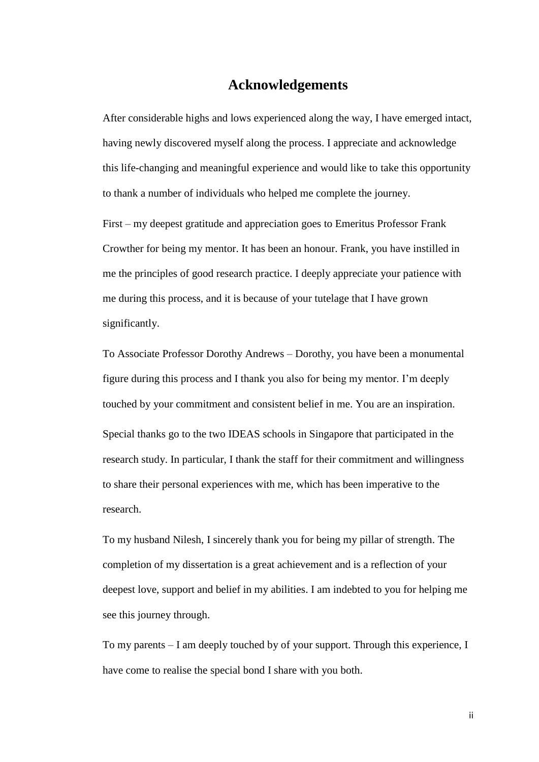#### **Acknowledgements**

<span id="page-2-0"></span>After considerable highs and lows experienced along the way, I have emerged intact, having newly discovered myself along the process. I appreciate and acknowledge this life-changing and meaningful experience and would like to take this opportunity to thank a number of individuals who helped me complete the journey.

First – my deepest gratitude and appreciation goes to Emeritus Professor Frank Crowther for being my mentor. It has been an honour. Frank, you have instilled in me the principles of good research practice. I deeply appreciate your patience with me during this process, and it is because of your tutelage that I have grown significantly.

To Associate Professor Dorothy Andrews – Dorothy, you have been a monumental figure during this process and I thank you also for being my mentor. I"m deeply touched by your commitment and consistent belief in me. You are an inspiration. Special thanks go to the two IDEAS schools in Singapore that participated in the research study. In particular, I thank the staff for their commitment and willingness to share their personal experiences with me, which has been imperative to the research.

To my husband Nilesh, I sincerely thank you for being my pillar of strength. The completion of my dissertation is a great achievement and is a reflection of your deepest love, support and belief in my abilities. I am indebted to you for helping me see this journey through.

To my parents – I am deeply touched by of your support. Through this experience, I have come to realise the special bond I share with you both.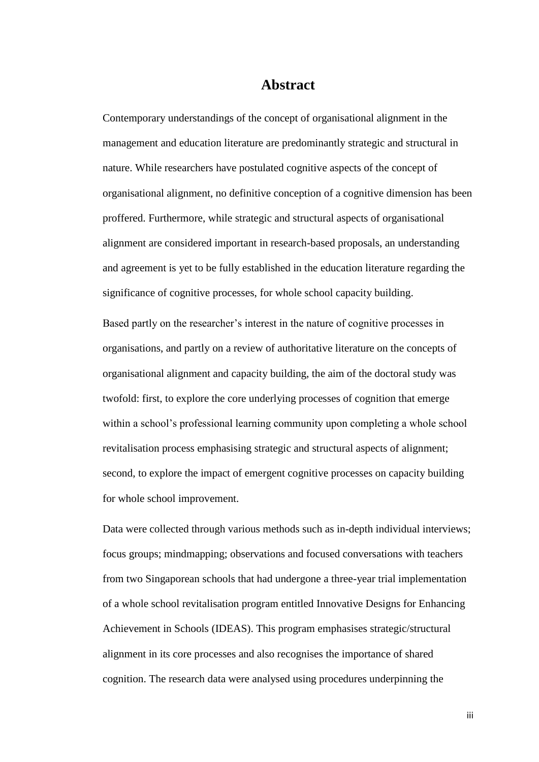#### **Abstract**

<span id="page-3-0"></span>Contemporary understandings of the concept of organisational alignment in the management and education literature are predominantly strategic and structural in nature. While researchers have postulated cognitive aspects of the concept of organisational alignment, no definitive conception of a cognitive dimension has been proffered. Furthermore, while strategic and structural aspects of organisational alignment are considered important in research-based proposals, an understanding and agreement is yet to be fully established in the education literature regarding the significance of cognitive processes, for whole school capacity building.

Based partly on the researcher"s interest in the nature of cognitive processes in organisations, and partly on a review of authoritative literature on the concepts of organisational alignment and capacity building, the aim of the doctoral study was twofold: first, to explore the core underlying processes of cognition that emerge within a school's professional learning community upon completing a whole school revitalisation process emphasising strategic and structural aspects of alignment; second, to explore the impact of emergent cognitive processes on capacity building for whole school improvement.

Data were collected through various methods such as in-depth individual interviews; focus groups; mindmapping; observations and focused conversations with teachers from two Singaporean schools that had undergone a three-year trial implementation of a whole school revitalisation program entitled Innovative Designs for Enhancing Achievement in Schools (IDEAS). This program emphasises strategic/structural alignment in its core processes and also recognises the importance of shared cognition. The research data were analysed using procedures underpinning the

iii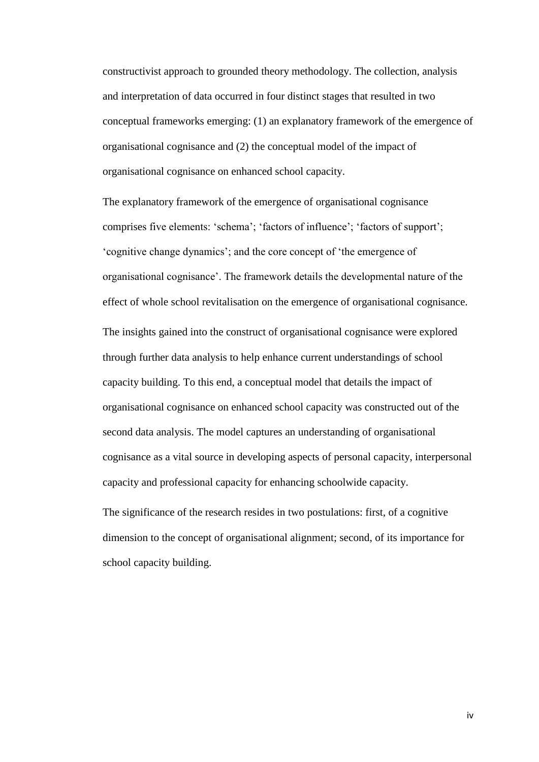constructivist approach to grounded theory methodology. The collection, analysis and interpretation of data occurred in four distinct stages that resulted in two conceptual frameworks emerging: (1) an explanatory framework of the emergence of organisational cognisance and (2) the conceptual model of the impact of organisational cognisance on enhanced school capacity.

The explanatory framework of the emergence of organisational cognisance comprises five elements: "schema"; "factors of influence"; "factors of support"; "cognitive change dynamics"; and the core concept of "the emergence of organisational cognisance". The framework details the developmental nature of the effect of whole school revitalisation on the emergence of organisational cognisance. The insights gained into the construct of organisational cognisance were explored through further data analysis to help enhance current understandings of school capacity building. To this end, a conceptual model that details the impact of organisational cognisance on enhanced school capacity was constructed out of the second data analysis. The model captures an understanding of organisational cognisance as a vital source in developing aspects of personal capacity, interpersonal capacity and professional capacity for enhancing schoolwide capacity.

The significance of the research resides in two postulations: first, of a cognitive dimension to the concept of organisational alignment; second, of its importance for school capacity building.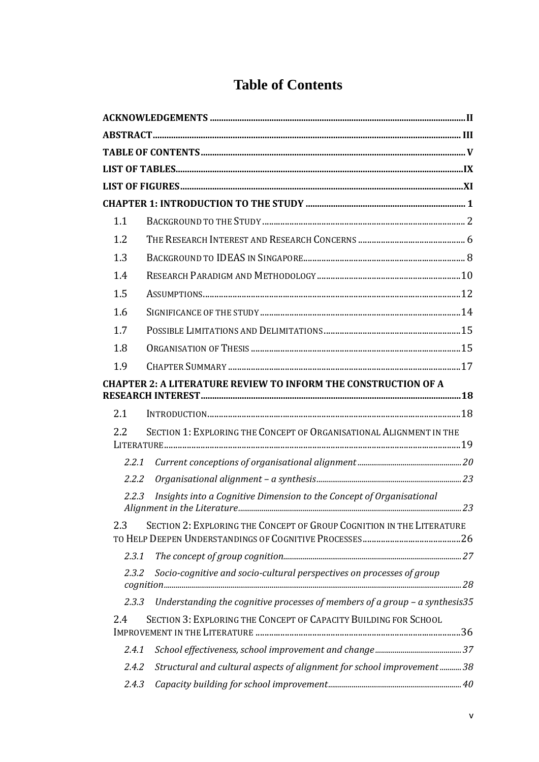|  |  | <b>Table of Contents</b> |
|--|--|--------------------------|
|--|--|--------------------------|

<span id="page-5-0"></span>

| 1.1   |                                                                               |  |
|-------|-------------------------------------------------------------------------------|--|
| 1.2   |                                                                               |  |
| 1.3   |                                                                               |  |
| 1.4   |                                                                               |  |
| 1.5   |                                                                               |  |
| 1.6   |                                                                               |  |
| 1.7   |                                                                               |  |
| 1.8   |                                                                               |  |
| 1.9   |                                                                               |  |
|       | <b>CHAPTER 2: A LITERATURE REVIEW TO INFORM THE CONSTRUCTION OF A</b>         |  |
| 2.1   |                                                                               |  |
| 2.2   | SECTION 1: EXPLORING THE CONCEPT OF ORGANISATIONAL ALIGNMENT IN THE           |  |
| 2.2.1 |                                                                               |  |
| 2.2.2 |                                                                               |  |
| 2.2.3 | Insights into a Cognitive Dimension to the Concept of Organisational          |  |
| 2.3   | SECTION 2: EXPLORING THE CONCEPT OF GROUP COGNITION IN THE LITERATURE         |  |
| 2.3.1 |                                                                               |  |
| 2.3.2 | Socio-cognitive and socio-cultural perspectives on processes of group         |  |
| 2.3.3 | Understanding the cognitive processes of members of a group $-$ a synthesis35 |  |
| 2.4   | SECTION 3: EXPLORING THE CONCEPT OF CAPACITY BUILDING FOR SCHOOL              |  |
| 2.4.1 |                                                                               |  |
| 2.4.2 | Structural and cultural aspects of alignment for school improvement38         |  |
| 2.4.3 |                                                                               |  |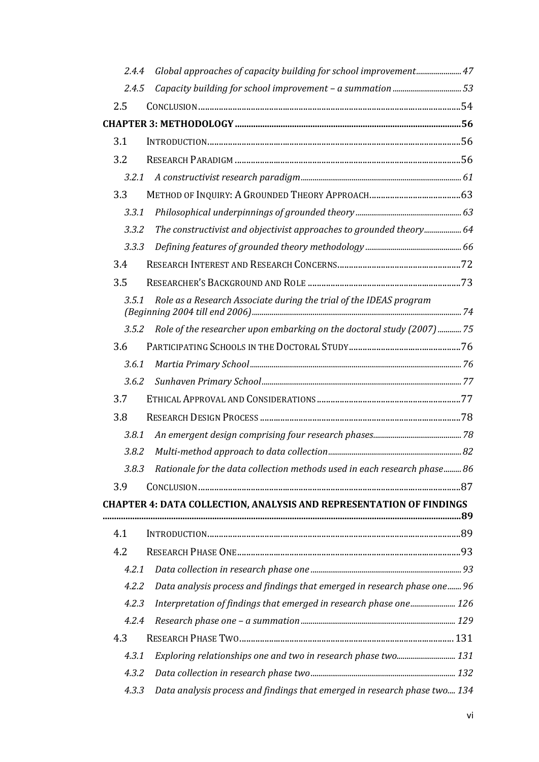| 2.4.4 | Global approaches of capacity building for school improvement 47          |  |
|-------|---------------------------------------------------------------------------|--|
| 2.4.5 |                                                                           |  |
| 2.5   |                                                                           |  |
|       |                                                                           |  |
| 3.1   |                                                                           |  |
| 3.2   |                                                                           |  |
| 3.2.1 |                                                                           |  |
| 3.3   |                                                                           |  |
| 3.3.1 |                                                                           |  |
| 3.3.2 | The constructivist and objectivist approaches to grounded theory 64       |  |
| 3.3.3 |                                                                           |  |
| 3.4   |                                                                           |  |
| 3.5   |                                                                           |  |
| 3.5.1 | Role as a Research Associate during the trial of the IDEAS program        |  |
| 3.5.2 | Role of the researcher upon embarking on the doctoral study (2007)  75    |  |
| 3.6   |                                                                           |  |
| 3.6.1 |                                                                           |  |
| 3.6.2 |                                                                           |  |
| 3.7   |                                                                           |  |
| 3.8   |                                                                           |  |
| 3.8.1 |                                                                           |  |
| 3.8.2 |                                                                           |  |
| 3.8.3 | Rationale for the data collection methods used in each research phase 86  |  |
| 3.9   |                                                                           |  |
|       | CHAPTER 4: DATA COLLECTION, ANALYSIS AND REPRESENTATION OF FINDINGS       |  |
| 4.1   |                                                                           |  |
| 4.2   |                                                                           |  |
| 4.2.1 |                                                                           |  |
| 4.2.2 | Data analysis process and findings that emerged in research phase one 96  |  |
| 4.2.3 | Interpretation of findings that emerged in research phase one 126         |  |
| 4.2.4 |                                                                           |  |
| 4.3   |                                                                           |  |
| 4.3.1 | Exploring relationships one and two in research phase two 131             |  |
| 4.3.2 |                                                                           |  |
| 4.3.3 | Data analysis process and findings that emerged in research phase two 134 |  |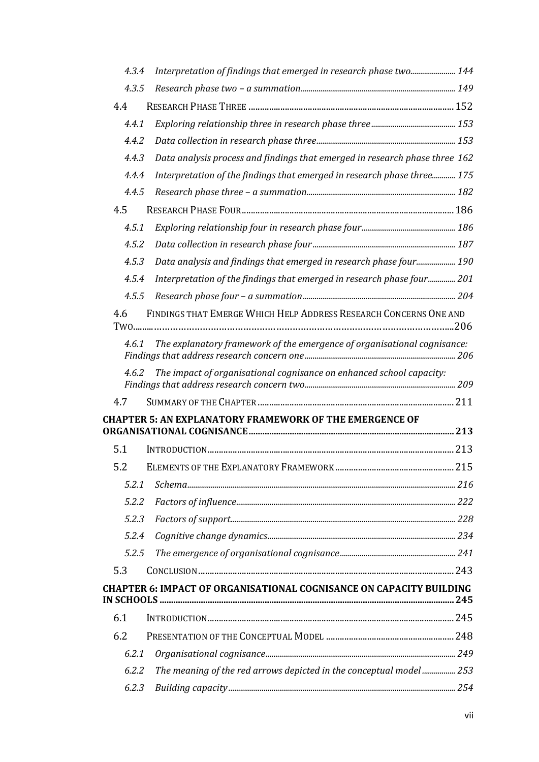| 4.3.4 | Interpretation of findings that emerged in research phase two 144           |  |
|-------|-----------------------------------------------------------------------------|--|
| 4.3.5 |                                                                             |  |
| 4.4   |                                                                             |  |
| 4.4.1 |                                                                             |  |
| 4.4.2 |                                                                             |  |
| 4.4.3 | Data analysis process and findings that emerged in research phase three 162 |  |
| 4.4.4 | Interpretation of the findings that emerged in research phase three 175     |  |
| 4.4.5 |                                                                             |  |
| 4.5   |                                                                             |  |
| 4.5.1 |                                                                             |  |
| 4.5.2 |                                                                             |  |
| 4.5.3 | Data analysis and findings that emerged in research phase four 190          |  |
| 4.5.4 | Interpretation of the findings that emerged in research phase four 201      |  |
| 4.5.5 |                                                                             |  |
| 4.6   | FINDINGS THAT EMERGE WHICH HELP ADDRESS RESEARCH CONCERNS ONE AND           |  |
| 4.6.1 | The explanatory framework of the emergence of organisational cognisance:    |  |
| 4.6.2 | The impact of organisational cognisance on enhanced school capacity:        |  |
| 4.7   |                                                                             |  |
|       | <b>CHAPTER 5: AN EXPLANATORY FRAMEWORK OF THE EMERGENCE OF</b>              |  |
|       |                                                                             |  |
| 5.1   |                                                                             |  |
| 5.2   |                                                                             |  |
| 5.2.1 |                                                                             |  |
| 5.2.2 |                                                                             |  |
| 5.2.3 |                                                                             |  |
| 5.2.4 |                                                                             |  |
| 5.2.5 |                                                                             |  |
| 5.3   |                                                                             |  |
|       | <b>CHAPTER 6: IMPACT OF ORGANISATIONAL COGNISANCE ON CAPACITY BUILDING</b>  |  |
| 6.1   |                                                                             |  |
| 6.2   |                                                                             |  |
| 6.2.1 |                                                                             |  |
| 6.2.2 | The meaning of the red arrows depicted in the conceptual model 253          |  |
| 6.2.3 |                                                                             |  |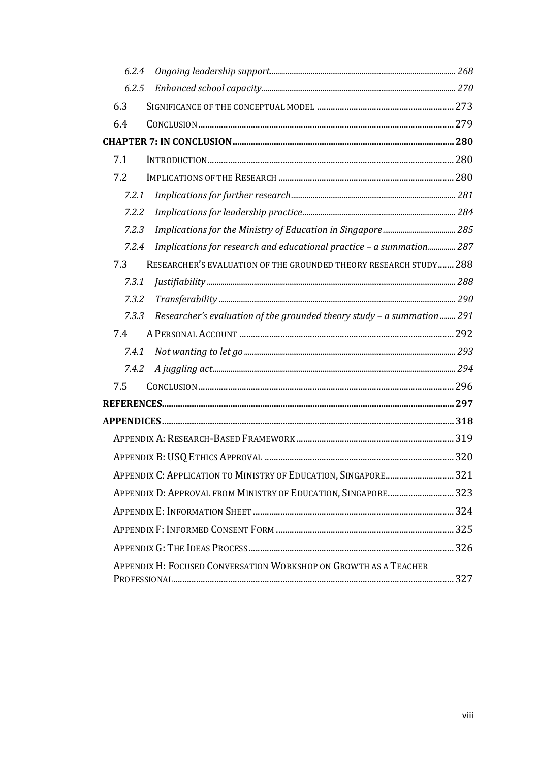| 6.2.4                                                                           |  |
|---------------------------------------------------------------------------------|--|
| 6.2.5                                                                           |  |
| 6.3                                                                             |  |
| 6.4                                                                             |  |
|                                                                                 |  |
| 7.1                                                                             |  |
| 7.2                                                                             |  |
| 7.2.1                                                                           |  |
| 7.2.2                                                                           |  |
| 7.2.3                                                                           |  |
| Implications for research and educational practice - a summation 287<br>7.2.4   |  |
| 7.3<br>RESEARCHER'S EVALUATION OF THE GROUNDED THEORY RESEARCH STUDY 288        |  |
| 7.3.1                                                                           |  |
| 7.3.2                                                                           |  |
| Researcher's evaluation of the grounded theory study - a summation 291<br>7.3.3 |  |
| 7.4                                                                             |  |
| 7.4.1                                                                           |  |
| 7.4.2                                                                           |  |
| 7.5                                                                             |  |
|                                                                                 |  |
|                                                                                 |  |
|                                                                                 |  |
|                                                                                 |  |
| APPENDIX C: APPLICATION TO MINISTRY OF EDUCATION, SINGAPORE 321                 |  |
| APPENDIX D: APPROVAL FROM MINISTRY OF EDUCATION, SINGAPORE 323                  |  |
|                                                                                 |  |
|                                                                                 |  |
|                                                                                 |  |
| APPENDIX H: FOCUSED CONVERSATION WORKSHOP ON GROWTH AS A TEACHER                |  |
|                                                                                 |  |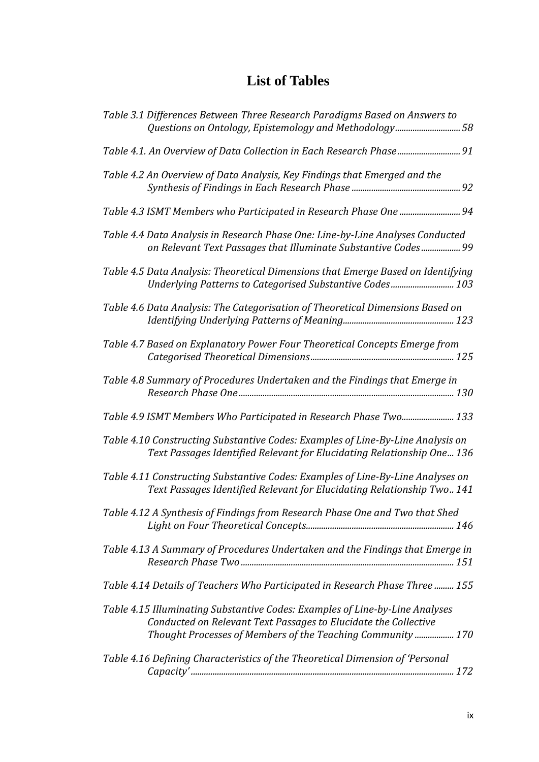### **List of Tables**

<span id="page-9-0"></span>

| Table 3.1 Differences Between Three Research Paradigms Based on Answers to<br>Questions on Ontology, Epistemology and Methodology58                                                                            |
|----------------------------------------------------------------------------------------------------------------------------------------------------------------------------------------------------------------|
| Table 4.1. An Overview of Data Collection in Each Research Phase 91                                                                                                                                            |
| Table 4.2 An Overview of Data Analysis, Key Findings that Emerged and the                                                                                                                                      |
|                                                                                                                                                                                                                |
| Table 4.4 Data Analysis in Research Phase One: Line-by-Line Analyses Conducted<br>on Relevant Text Passages that Illuminate Substantive Codes 99                                                               |
| Table 4.5 Data Analysis: Theoretical Dimensions that Emerge Based on Identifying<br>Underlying Patterns to Categorised Substantive Codes 103                                                                   |
| Table 4.6 Data Analysis: The Categorisation of Theoretical Dimensions Based on                                                                                                                                 |
| Table 4.7 Based on Explanatory Power Four Theoretical Concepts Emerge from                                                                                                                                     |
| Table 4.8 Summary of Procedures Undertaken and the Findings that Emerge in                                                                                                                                     |
| Table 4.9 ISMT Members Who Participated in Research Phase Two 133                                                                                                                                              |
| Table 4.10 Constructing Substantive Codes: Examples of Line-By-Line Analysis on<br>Text Passages Identified Relevant for Elucidating Relationship One 136                                                      |
| Table 4.11 Constructing Substantive Codes: Examples of Line-By-Line Analyses on<br>Text Passages Identified Relevant for Elucidating Relationship Two 141                                                      |
| Table 4.12 A Synthesis of Findings from Research Phase One and Two that Shed                                                                                                                                   |
| Table 4.13 A Summary of Procedures Undertaken and the Findings that Emerge in                                                                                                                                  |
| Table 4.14 Details of Teachers Who Participated in Research Phase Three  155                                                                                                                                   |
| Table 4.15 Illuminating Substantive Codes: Examples of Line-by-Line Analyses<br>Conducted on Relevant Text Passages to Elucidate the Collective<br>Thought Processes of Members of the Teaching Community  170 |
| Table 4.16 Defining Characteristics of the Theoretical Dimension of 'Personal                                                                                                                                  |